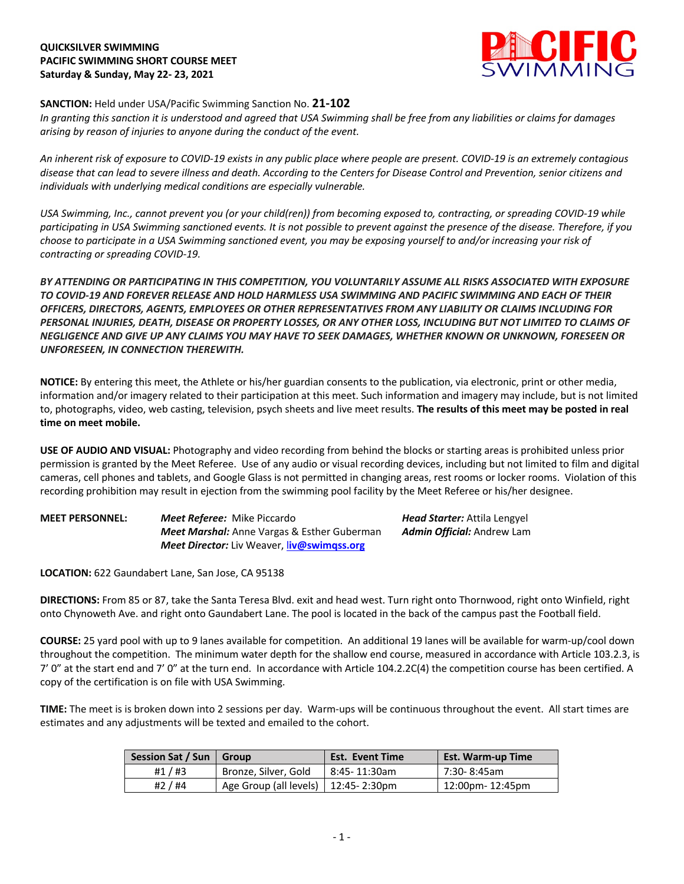# **QUICKSILVER SWIMMING PACIFIC SWIMMING SHORT COURSE MEET Saturday & Sunday, May 22- 23, 2021**



# **SANCTION:** Held under USA/Pacific Swimming Sanction No. **21-102**

*In granting this sanction it is understood and agreed that USA Swimming shall be free from any liabilities or claims for damages arising by reason of injuries to anyone during the conduct of the event.* 

*An inherent risk of exposure to COVID-19 exists in any public place where people are present. COVID-19 is an extremely contagious disease that can lead to severe illness and death. According to the Centers for Disease Control and Prevention, senior citizens and individuals with underlying medical conditions are especially vulnerable.*

*USA Swimming, Inc., cannot prevent you (or your child(ren)) from becoming exposed to, contracting, or spreading COVID-19 while participating in USA Swimming sanctioned events. It is not possible to prevent against the presence of the disease. Therefore, if you choose to participate in a USA Swimming sanctioned event, you may be exposing yourself to and/or increasing your risk of contracting or spreading COVID-19.*

*BY ATTENDING OR PARTICIPATING IN THIS COMPETITION, YOU VOLUNTARILY ASSUME ALL RISKS ASSOCIATED WITH EXPOSURE TO COVID-19 AND FOREVER RELEASE AND HOLD HARMLESS USA SWIMMING AND PACIFIC SWIMMING AND EACH OF THEIR OFFICERS, DIRECTORS, AGENTS, EMPLOYEES OR OTHER REPRESENTATIVES FROM ANY LIABILITY OR CLAIMS INCLUDING FOR PERSONAL INJURIES, DEATH, DISEASE OR PROPERTY LOSSES, OR ANY OTHER LOSS, INCLUDING BUT NOT LIMITED TO CLAIMS OF NEGLIGENCE AND GIVE UP ANY CLAIMS YOU MAY HAVE TO SEEK DAMAGES, WHETHER KNOWN OR UNKNOWN, FORESEEN OR UNFORESEEN, IN CONNECTION THEREWITH.*

**NOTICE:** By entering this meet, the Athlete or his/her guardian consents to the publication, via electronic, print or other media, information and/or imagery related to their participation at this meet. Such information and imagery may include, but is not limited to, photographs, video, web casting, television, psych sheets and live meet results. **The results of this meet may be posted in real time on meet mobile.**

**USE OF AUDIO AND VISUAL:** Photography and video recording from behind the blocks or starting areas is prohibited unless prior permission is granted by the Meet Referee. Use of any audio or visual recording devices, including but not limited to film and digital cameras, cell phones and tablets, and Google Glass is not permitted in changing areas, rest rooms or locker rooms. Violation of this recording prohibition may result in ejection from the swimming pool facility by the Meet Referee or his/her designee.

| <b>MEET PERSONNEL:</b> | <b>Meet Referee:</b> Mike Piccardo                       | <b>Head Starter:</b> Attila Lengyel |
|------------------------|----------------------------------------------------------|-------------------------------------|
|                        | <b>Meet Marshal:</b> Anne Vargas & Esther Guberman       | <b>Admin Official:</b> Andrew Lam   |
|                        | <b>Meet Director:</b> Liv Weaver, <b>liv@swimgss.org</b> |                                     |

**LOCATION:** 622 Gaundabert Lane, San Jose, CA 95138

**DIRECTIONS:** From 85 or 87, take the Santa Teresa Blvd. exit and head west. Turn right onto Thornwood, right onto Winfield, right onto Chynoweth Ave. and right onto Gaundabert Lane. The pool is located in the back of the campus past the Football field.

**COURSE:** 25 yard pool with up to 9 lanes available for competition. An additional 19 lanes will be available for warm-up/cool down throughout the competition. The minimum water depth for the shallow end course, measured in accordance with Article 103.2.3, is 7' 0" at the start end and 7' 0" at the turn end. In accordance with Article 104.2.2C(4) the competition course has been certified. A copy of the certification is on file with USA Swimming.

**TIME:** The meet is is broken down into 2 sessions per day. Warm-ups will be continuous throughout the event. All start times are estimates and any adjustments will be texted and emailed to the cohort.

| Session Sat / Sun | Group                                 | <b>Est. Event Time</b> | <b>Est. Warm-up Time</b> |
|-------------------|---------------------------------------|------------------------|--------------------------|
| #1 $/$ #3         | Bronze, Silver, Gold                  | l 8:45-11:30am         | 7:30-8:45am              |
| #2 / #4           | Age Group (all levels)   12:45-2:30pm |                        | 12:00pm- 12:45pm         |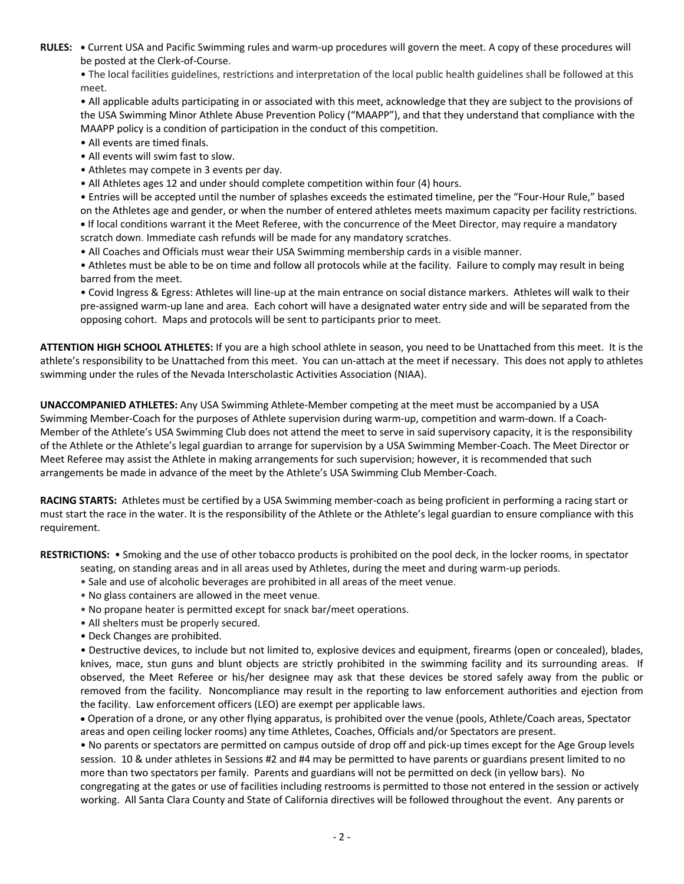**RULES: •** Current USA and Pacific Swimming rules and warm-up procedures will govern the meet. A copy of these procedures will be posted at the Clerk-of-Course.

• The local facilities guidelines, restrictions and interpretation of the local public health guidelines shall be followed at this meet.

• All applicable adults participating in or associated with this meet, acknowledge that they are subject to the provisions of the USA Swimming Minor Athlete Abuse Prevention Policy ("MAAPP"), and that they understand that compliance with the MAAPP policy is a condition of participation in the conduct of this competition.

- All events are timed finals.
- All events will swim fast to slow.
- Athletes may compete in 3 events per day.
- All Athletes ages 12 and under should complete competition within four (4) hours.

• Entries will be accepted until the number of splashes exceeds the estimated timeline, per the "Four-Hour Rule," based on the Athletes age and gender, or when the number of entered athletes meets maximum capacity per facility restrictions. **•** If local conditions warrant it the Meet Referee, with the concurrence of the Meet Director, may require a mandatory scratch down. Immediate cash refunds will be made for any mandatory scratches.

• All Coaches and Officials must wear their USA Swimming membership cards in a visible manner.

• Athletes must be able to be on time and follow all protocols while at the facility. Failure to comply may result in being barred from the meet.

• Covid Ingress & Egress: Athletes will line-up at the main entrance on social distance markers. Athletes will walk to their pre-assigned warm-up lane and area. Each cohort will have a designated water entry side and will be separated from the opposing cohort. Maps and protocols will be sent to participants prior to meet.

**ATTENTION HIGH SCHOOL ATHLETES:** If you are a high school athlete in season, you need to be Unattached from this meet. It is the athlete's responsibility to be Unattached from this meet. You can un-attach at the meet if necessary. This does not apply to athletes swimming under the rules of the Nevada Interscholastic Activities Association (NIAA).

**UNACCOMPANIED ATHLETES:** Any USA Swimming Athlete-Member competing at the meet must be accompanied by a USA Swimming Member-Coach for the purposes of Athlete supervision during warm-up, competition and warm-down. If a Coach-Member of the Athlete's USA Swimming Club does not attend the meet to serve in said supervisory capacity, it is the responsibility of the Athlete or the Athlete's legal guardian to arrange for supervision by a USA Swimming Member-Coach. The Meet Director or Meet Referee may assist the Athlete in making arrangements for such supervision; however, it is recommended that such arrangements be made in advance of the meet by the Athlete's USA Swimming Club Member-Coach.

**RACING STARTS:** Athletes must be certified by a USA Swimming member-coach as being proficient in performing a racing start or must start the race in the water. It is the responsibility of the Athlete or the Athlete's legal guardian to ensure compliance with this requirement.

**RESTRICTIONS:** • Smoking and the use of other tobacco products is prohibited on the pool deck, in the locker rooms, in spectator

- seating, on standing areas and in all areas used by Athletes, during the meet and during warm-up periods.
- Sale and use of alcoholic beverages are prohibited in all areas of the meet venue.
- No glass containers are allowed in the meet venue.
- No propane heater is permitted except for snack bar/meet operations.
- All shelters must be properly secured.
- Deck Changes are prohibited.

• Destructive devices, to include but not limited to, explosive devices and equipment, firearms (open or concealed), blades, knives, mace, stun guns and blunt objects are strictly prohibited in the swimming facility and its surrounding areas. If observed, the Meet Referee or his/her designee may ask that these devices be stored safely away from the public or removed from the facility. Noncompliance may result in the reporting to law enforcement authorities and ejection from the facility. Law enforcement officers (LEO) are exempt per applicable laws.

• Operation of a drone, or any other flying apparatus, is prohibited over the venue (pools, Athlete/Coach areas, Spectator areas and open ceiling locker rooms) any time Athletes, Coaches, Officials and/or Spectators are present.

• No parents or spectators are permitted on campus outside of drop off and pick-up times except for the Age Group levels session. 10 & under athletes in Sessions #2 and #4 may be permitted to have parents or guardians present limited to no more than two spectators per family. Parents and guardians will not be permitted on deck (in yellow bars). No congregating at the gates or use of facilities including restrooms is permitted to those not entered in the session or actively working. All Santa Clara County and State of California directives will be followed throughout the event. Any parents or